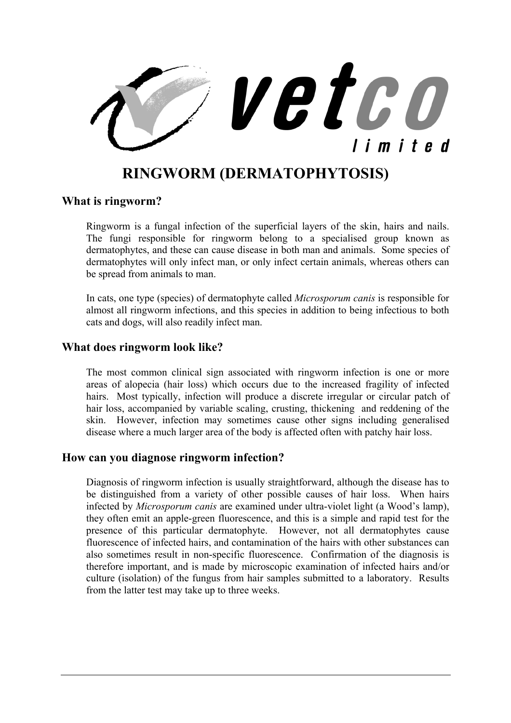

# **RINGWORM (DERMATOPHYTOSIS)**

#### **What is ringworm?**

Ringworm is a fungal infection of the superficial layers of the skin, hairs and nails. The fungi responsible for ringworm belong to a specialised group known as dermatophytes, and these can cause disease in both man and animals. Some species of dermatophytes will only infect man, or only infect certain animals, whereas others can be spread from animals to man.

In cats, one type (species) of dermatophyte called *Microsporum canis* is responsible for almost all ringworm infections, and this species in addition to being infectious to both cats and dogs, will also readily infect man.

#### **What does ringworm look like?**

The most common clinical sign associated with ringworm infection is one or more areas of alopecia (hair loss) which occurs due to the increased fragility of infected hairs. Most typically, infection will produce a discrete irregular or circular patch of hair loss, accompanied by variable scaling, crusting, thickening and reddening of the skin. However, infection may sometimes cause other signs including generalised disease where a much larger area of the body is affected often with patchy hair loss.

#### **How can you diagnose ringworm infection?**

Diagnosis of ringworm infection is usually straightforward, although the disease has to be distinguished from a variety of other possible causes of hair loss. When hairs infected by *Microsporum canis* are examined under ultra-violet light (a Wood's lamp), they often emit an apple-green fluorescence, and this is a simple and rapid test for the presence of this particular dermatophyte. However, not all dermatophytes cause fluorescence of infected hairs, and contamination of the hairs with other substances can also sometimes result in non-specific fluorescence. Confirmation of the diagnosis is therefore important, and is made by microscopic examination of infected hairs and/or culture (isolation) of the fungus from hair samples submitted to a laboratory. Results from the latter test may take up to three weeks.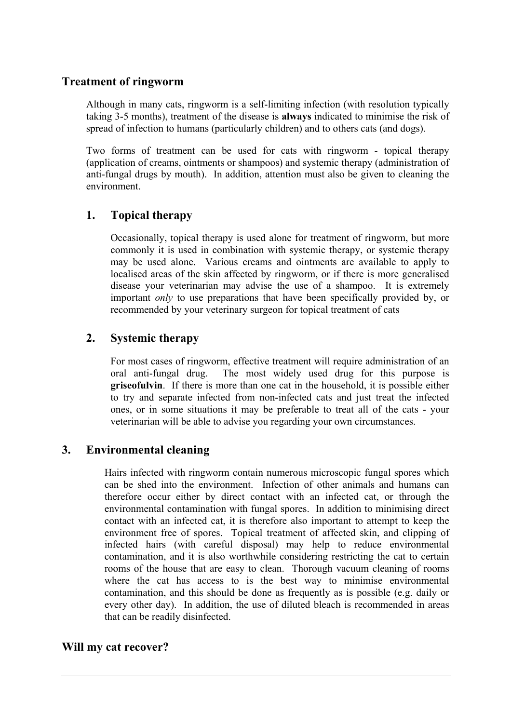## **Treatment of ringworm**

Although in many cats, ringworm is a self-limiting infection (with resolution typically taking 3-5 months), treatment of the disease is **always** indicated to minimise the risk of spread of infection to humans (particularly children) and to others cats (and dogs).

Two forms of treatment can be used for cats with ringworm - topical therapy (application of creams, ointments or shampoos) and systemic therapy (administration of anti-fungal drugs by mouth). In addition, attention must also be given to cleaning the environment.

# **1. Topical therapy**

Occasionally, topical therapy is used alone for treatment of ringworm, but more commonly it is used in combination with systemic therapy, or systemic therapy may be used alone. Various creams and ointments are available to apply to localised areas of the skin affected by ringworm, or if there is more generalised disease your veterinarian may advise the use of a shampoo. It is extremely important *only* to use preparations that have been specifically provided by, or recommended by your veterinary surgeon for topical treatment of cats

# **2. Systemic therapy**

For most cases of ringworm, effective treatment will require administration of an oral anti-fungal drug. The most widely used drug for this purpose is **griseofulvin**. If there is more than one cat in the household, it is possible either to try and separate infected from non-infected cats and just treat the infected ones, or in some situations it may be preferable to treat all of the cats - your veterinarian will be able to advise you regarding your own circumstances.

# **3. Environmental cleaning**

Hairs infected with ringworm contain numerous microscopic fungal spores which can be shed into the environment. Infection of other animals and humans can therefore occur either by direct contact with an infected cat, or through the environmental contamination with fungal spores. In addition to minimising direct contact with an infected cat, it is therefore also important to attempt to keep the environment free of spores. Topical treatment of affected skin, and clipping of infected hairs (with careful disposal) may help to reduce environmental contamination, and it is also worthwhile considering restricting the cat to certain rooms of the house that are easy to clean. Thorough vacuum cleaning of rooms where the cat has access to is the best way to minimise environmental contamination, and this should be done as frequently as is possible (e.g. daily or every other day). In addition, the use of diluted bleach is recommended in areas that can be readily disinfected.

# **Will my cat recover?**